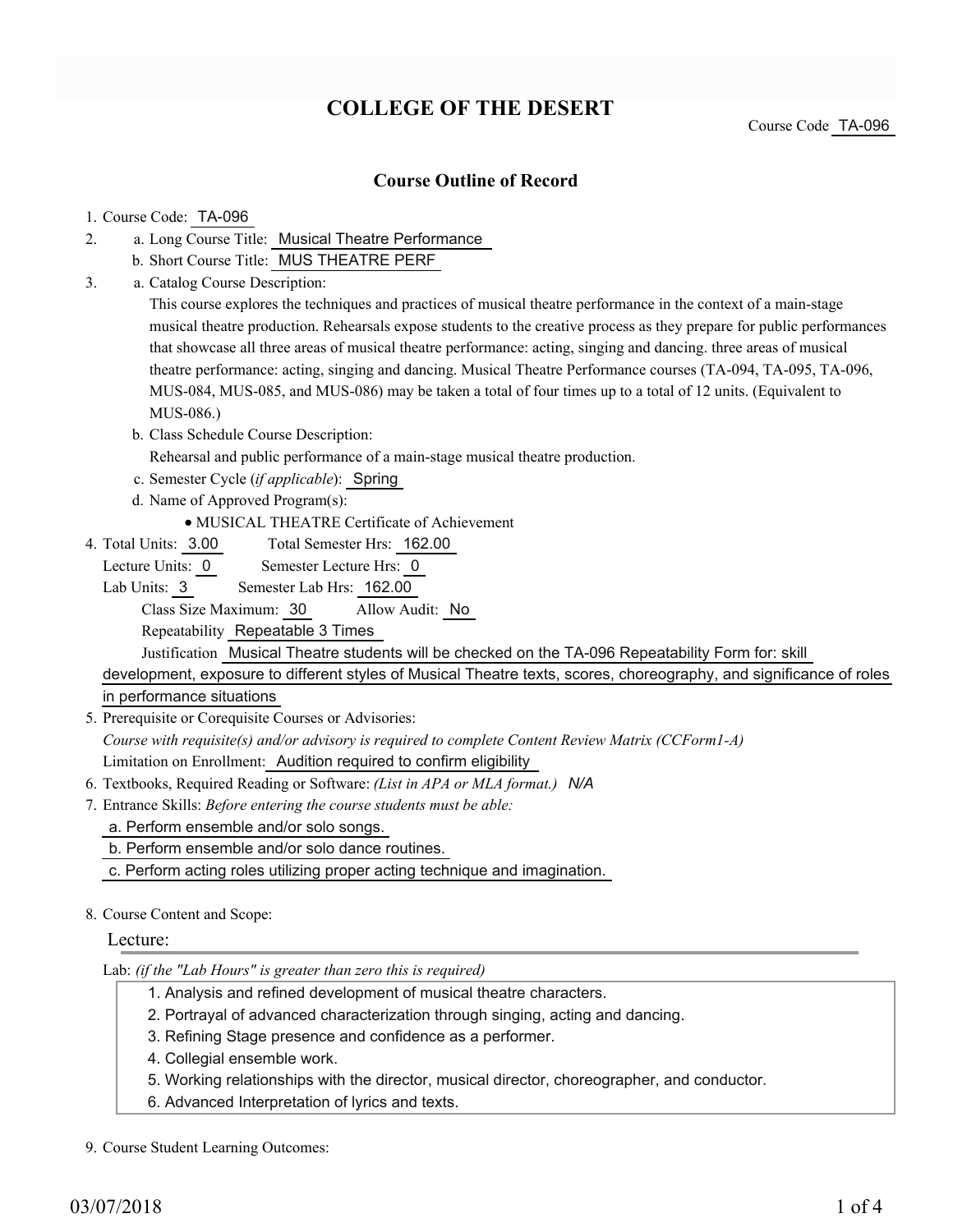# **COLLEGE OF THE DESERT**

Course Code TA-096

## **Course Outline of Record**

## 1. Course Code: TA-096

- a. Long Course Title: Musical Theatre Performance 2.
	- b. Short Course Title: MUS THEATRE PERF
- Catalog Course Description: a. 3.

This course explores the techniques and practices of musical theatre performance in the context of a main-stage musical theatre production. Rehearsals expose students to the creative process as they prepare for public performances that showcase all three areas of musical theatre performance: acting, singing and dancing. three areas of musical theatre performance: acting, singing and dancing. Musical Theatre Performance courses (TA-094, TA-095, TA-096, MUS-084, MUS-085, and MUS-086) may be taken a total of four times up to a total of 12 units. (Equivalent to MUS-086.)

- b. Class Schedule Course Description:
	- Rehearsal and public performance of a main-stage musical theatre production.
- c. Semester Cycle (*if applicable*): Spring
- d. Name of Approved Program(s):
	- MUSICAL THEATRE Certificate of Achievement
- Total Semester Hrs: 162.00 4. Total Units: 3.00
- Lecture Units: 0 Semester Lecture Hrs: 0

Lab Units: 3 Semester Lab Hrs: 162.00

Class Size Maximum: 30 Allow Audit: No

Repeatability Repeatable 3 Times

Justification Musical Theatre students will be checked on the TA-096 Repeatability Form for: skill

development, exposure to different styles of Musical Theatre texts, scores, choreography, and significance of roles in performance situations

5. Prerequisite or Corequisite Courses or Advisories:

*Course with requisite(s) and/or advisory is required to complete Content Review Matrix (CCForm1-A)* Limitation on Enrollment: Audition required to confirm eligibility

- 6. Textbooks, Required Reading or Software: *(List in APA or MLA format.) N/A*
- Entrance Skills: *Before entering the course students must be able:* 7.
	- a. Perform ensemble and/or solo songs.
	- b. Perform ensemble and/or solo dance routines.
	- c. Perform acting roles utilizing proper acting technique and imagination.
- 8. Course Content and Scope:

## Lecture:

Lab: *(if the "Lab Hours" is greater than zero this is required)*

- 1. Analysis and refined development of musical theatre characters.
- 2. Portrayal of advanced characterization through singing, acting and dancing.
- 3. Refining Stage presence and confidence as a performer.
- 4. Collegial ensemble work.
- 5. Working relationships with the director, musical director, choreographer, and conductor.
- 6. Advanced Interpretation of lyrics and texts.

9. Course Student Learning Outcomes: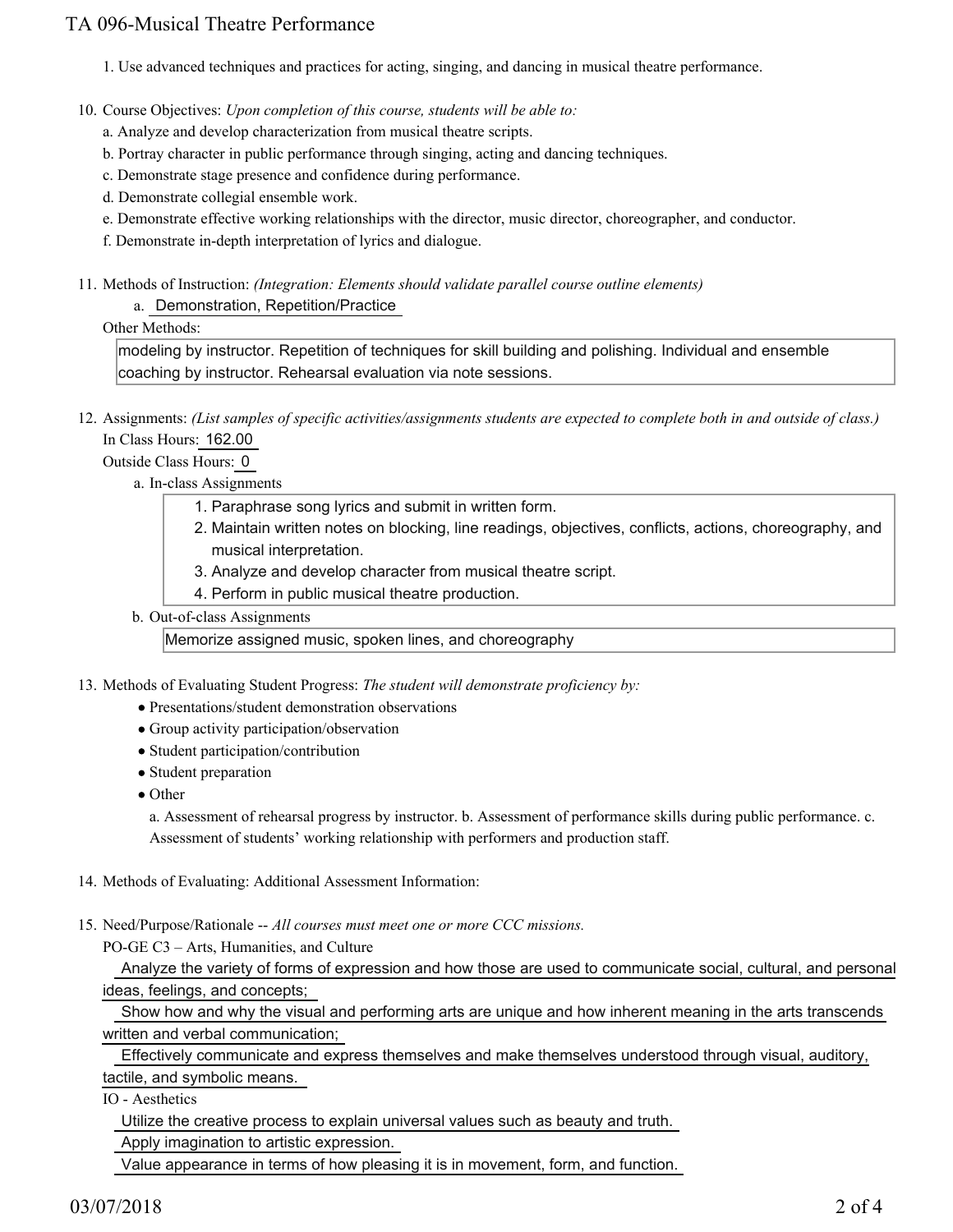## TA 096-Musical Theatre Performance

1. Use advanced techniques and practices for acting, singing, and dancing in musical theatre performance.

10. Course Objectives: Upon completion of this course, students will be able to:

a. Analyze and develop characterization from musical theatre scripts.

b. Portray character in public performance through singing, acting and dancing techniques.

c. Demonstrate stage presence and confidence during performance.

d. Demonstrate collegial ensemble work.

e. Demonstrate effective working relationships with the director, music director, choreographer, and conductor.

f. Demonstrate in-depth interpretation of lyrics and dialogue.

Methods of Instruction: *(Integration: Elements should validate parallel course outline elements)* 11. a. Demonstration, Repetition/Practice

#### Other Methods:

modeling by instructor. Repetition of techniques for skill building and polishing. Individual and ensemble coaching by instructor. Rehearsal evaluation via note sessions.

12. Assignments: (List samples of specific activities/assignments students are expected to complete both in and outside of class.) In Class Hours: 162.00

Outside Class Hours: 0

a. In-class Assignments

- 1. Paraphrase song lyrics and submit in written form.
- 2. Maintain written notes on blocking, line readings, objectives, conflicts, actions, choreography, and musical interpretation.
- 3. Analyze and develop character from musical theatre script.
- 4. Perform in public musical theatre production.
- b. Out-of-class Assignments

Memorize assigned music, spoken lines, and choreography

13. Methods of Evaluating Student Progress: The student will demonstrate proficiency by:

- Presentations/student demonstration observations
- Group activity participation/observation
- Student participation/contribution
- Student preparation
- Other

a. Assessment of rehearsal progress by instructor. b. Assessment of performance skills during public performance. c. Assessment of students' working relationship with performers and production staff.

14. Methods of Evaluating: Additional Assessment Information:

15. Need/Purpose/Rationale -- All courses must meet one or more CCC missions.

PO-GE C3 – Arts, Humanities, and Culture

 Analyze the variety of forms of expression and how those are used to communicate social, cultural, and personal ideas, feelings, and concepts;

 Show how and why the visual and performing arts are unique and how inherent meaning in the arts transcends written and verbal communication;

Effectively communicate and express themselves and make themselves understood through visual, auditory,

tactile, and symbolic means.

IO - Aesthetics

Utilize the creative process to explain universal values such as beauty and truth.

Apply imagination to artistic expression.

Value appearance in terms of how pleasing it is in movement, form, and function.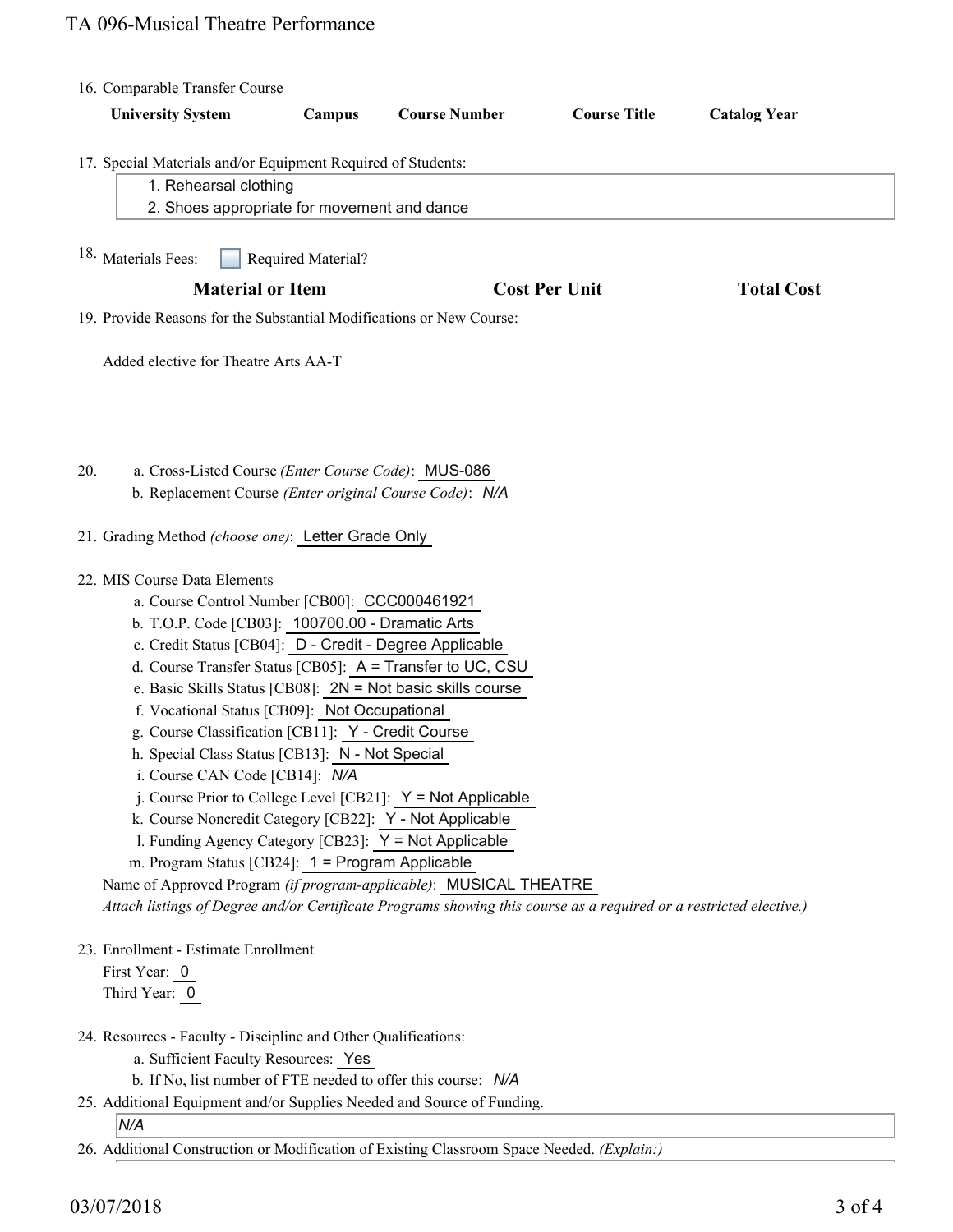# TA 096-Musical Theatre Performance

| 16. Comparable Transfer Course |                                                                                                                                                                                                                                                                                                                                                                                                                                                                                                                                                                                                                                                                                                                                                                                                                                                                                                                                                            |                    |                      |                      |                     |
|--------------------------------|------------------------------------------------------------------------------------------------------------------------------------------------------------------------------------------------------------------------------------------------------------------------------------------------------------------------------------------------------------------------------------------------------------------------------------------------------------------------------------------------------------------------------------------------------------------------------------------------------------------------------------------------------------------------------------------------------------------------------------------------------------------------------------------------------------------------------------------------------------------------------------------------------------------------------------------------------------|--------------------|----------------------|----------------------|---------------------|
|                                | <b>University System</b>                                                                                                                                                                                                                                                                                                                                                                                                                                                                                                                                                                                                                                                                                                                                                                                                                                                                                                                                   | Campus             | <b>Course Number</b> | <b>Course Title</b>  | <b>Catalog Year</b> |
|                                | 17. Special Materials and/or Equipment Required of Students:<br>1. Rehearsal clothing                                                                                                                                                                                                                                                                                                                                                                                                                                                                                                                                                                                                                                                                                                                                                                                                                                                                      |                    |                      |                      |                     |
|                                | 2. Shoes appropriate for movement and dance                                                                                                                                                                                                                                                                                                                                                                                                                                                                                                                                                                                                                                                                                                                                                                                                                                                                                                                |                    |                      |                      |                     |
|                                | 18. Materials Fees:                                                                                                                                                                                                                                                                                                                                                                                                                                                                                                                                                                                                                                                                                                                                                                                                                                                                                                                                        | Required Material? |                      |                      |                     |
|                                | <b>Material or Item</b>                                                                                                                                                                                                                                                                                                                                                                                                                                                                                                                                                                                                                                                                                                                                                                                                                                                                                                                                    |                    |                      | <b>Cost Per Unit</b> |                     |
|                                | 19. Provide Reasons for the Substantial Modifications or New Course:                                                                                                                                                                                                                                                                                                                                                                                                                                                                                                                                                                                                                                                                                                                                                                                                                                                                                       |                    |                      |                      |                     |
|                                | Added elective for Theatre Arts AA-T                                                                                                                                                                                                                                                                                                                                                                                                                                                                                                                                                                                                                                                                                                                                                                                                                                                                                                                       |                    |                      |                      |                     |
| 20.                            | a. Cross-Listed Course (Enter Course Code): MUS-086<br>b. Replacement Course (Enter original Course Code): N/A                                                                                                                                                                                                                                                                                                                                                                                                                                                                                                                                                                                                                                                                                                                                                                                                                                             |                    |                      |                      |                     |
|                                | 21. Grading Method (choose one): Letter Grade Only                                                                                                                                                                                                                                                                                                                                                                                                                                                                                                                                                                                                                                                                                                                                                                                                                                                                                                         |                    |                      |                      |                     |
|                                | 22. MIS Course Data Elements<br>a. Course Control Number [CB00]: CCC000461921<br>b. T.O.P. Code [CB03]: 100700.00 - Dramatic Arts<br>c. Credit Status [CB04]: D - Credit - Degree Applicable<br>d. Course Transfer Status [CB05]: A = Transfer to UC, CSU<br>e. Basic Skills Status [CB08]: 2N = Not basic skills course<br>f. Vocational Status [CB09]: Not Occupational<br>g. Course Classification [CB11]: Y - Credit Course<br>h. Special Class Status [CB13]: N - Not Special<br>i. Course CAN Code [CB14]: N/A<br>j. Course Prior to College Level [CB21]: $Y = Not Applicable$<br>k. Course Noncredit Category [CB22]: Y - Not Applicable<br>1. Funding Agency Category [CB23]: Y = Not Applicable<br>m. Program Status [CB24]: $1 =$ Program Applicable<br>Name of Approved Program (if program-applicable): MUSICAL THEATRE<br>Attach listings of Degree and/or Certificate Programs showing this course as a required or a restricted elective.) |                    |                      |                      |                     |
|                                | 23. Enrollment - Estimate Enrollment<br>First Year: 0<br>Third Year: 0                                                                                                                                                                                                                                                                                                                                                                                                                                                                                                                                                                                                                                                                                                                                                                                                                                                                                     |                    |                      |                      |                     |
|                                | 24. Resources - Faculty - Discipline and Other Qualifications:<br>a. Sufficient Faculty Resources: Yes<br>b. If No, list number of FTE needed to offer this course: N/A                                                                                                                                                                                                                                                                                                                                                                                                                                                                                                                                                                                                                                                                                                                                                                                    |                    |                      |                      |                     |
|                                | 25. Additional Equipment and/or Supplies Needed and Source of Funding.<br>N/A                                                                                                                                                                                                                                                                                                                                                                                                                                                                                                                                                                                                                                                                                                                                                                                                                                                                              |                    |                      |                      |                     |
|                                | 26. Additional Construction or Modification of Existing Classroom Space Needed. (Explain:)                                                                                                                                                                                                                                                                                                                                                                                                                                                                                                                                                                                                                                                                                                                                                                                                                                                                 |                    |                      |                      |                     |